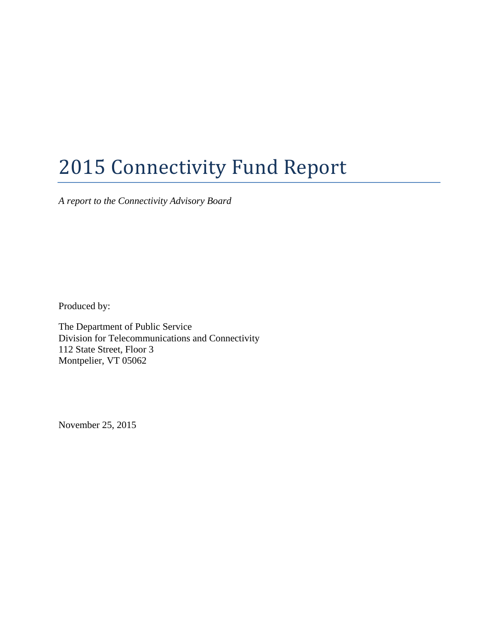# 2015 Connectivity Fund Report

*A report to the Connectivity Advisory Board* 

Produced by:

The Department of Public Service Division for Telecommunications and Connectivity 112 State Street, Floor 3 Montpelier, VT 05062

November 25, 2015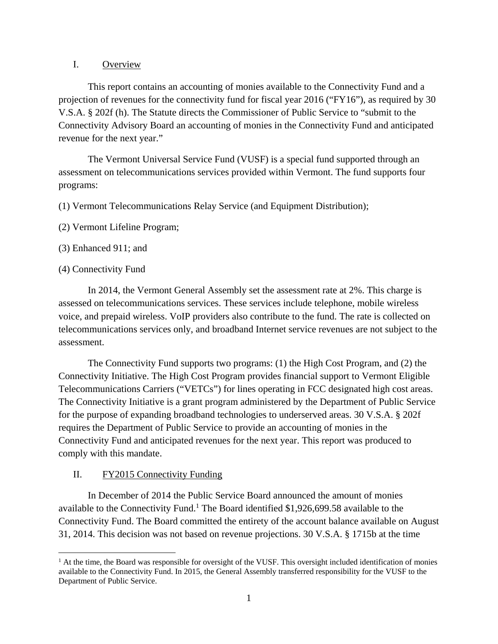#### I. Overview

 This report contains an accounting of monies available to the Connectivity Fund and a projection of revenues for the connectivity fund for fiscal year 2016 ("FY16"), as required by 30 V.S.A. § 202f (h). The Statute directs the Commissioner of Public Service to "submit to the Connectivity Advisory Board an accounting of monies in the Connectivity Fund and anticipated revenue for the next year."

 The Vermont Universal Service Fund (VUSF) is a special fund supported through an assessment on telecommunications services provided within Vermont. The fund supports four programs:

(1) Vermont Telecommunications Relay Service (and Equipment Distribution);

- (2) Vermont Lifeline Program;
- (3) Enhanced 911; and

#### (4) Connectivity Fund

In 2014, the Vermont General Assembly set the assessment rate at 2%. This charge is assessed on telecommunications services. These services include telephone, mobile wireless voice, and prepaid wireless. VoIP providers also contribute to the fund. The rate is collected on telecommunications services only, and broadband Internet service revenues are not subject to the assessment.

 The Connectivity Fund supports two programs: (1) the High Cost Program, and (2) the Connectivity Initiative. The High Cost Program provides financial support to Vermont Eligible Telecommunications Carriers ("VETCs") for lines operating in FCC designated high cost areas. The Connectivity Initiative is a grant program administered by the Department of Public Service for the purpose of expanding broadband technologies to underserved areas. 30 V.S.A. § 202f requires the Department of Public Service to provide an accounting of monies in the Connectivity Fund and anticipated revenues for the next year. This report was produced to comply with this mandate.

### II. FY2015 Connectivity Funding

 In December of 2014 the Public Service Board announced the amount of monies available to the Connectivity Fund.<sup>1</sup> The Board identified \$1,926,699.58 available to the Connectivity Fund. The Board committed the entirety of the account balance available on August 31, 2014. This decision was not based on revenue projections. 30 V.S.A. § 1715b at the time

 $\overline{a}$ <sup>1</sup> At the time, the Board was responsible for oversight of the VUSF. This oversight included identification of monies available to the Connectivity Fund. In 2015, the General Assembly transferred responsibility for the VUSF to the Department of Public Service.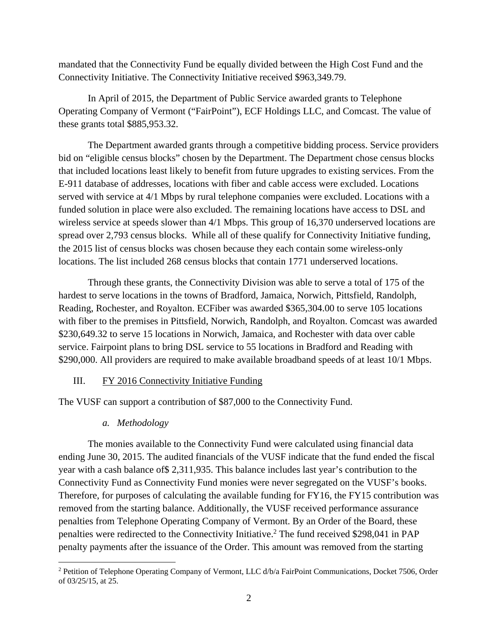mandated that the Connectivity Fund be equally divided between the High Cost Fund and the Connectivity Initiative. The Connectivity Initiative received \$963,349.79.

 In April of 2015, the Department of Public Service awarded grants to Telephone Operating Company of Vermont ("FairPoint"), ECF Holdings LLC, and Comcast. The value of these grants total \$885,953.32.

The Department awarded grants through a competitive bidding process. Service providers bid on "eligible census blocks" chosen by the Department. The Department chose census blocks that included locations least likely to benefit from future upgrades to existing services. From the E-911 database of addresses, locations with fiber and cable access were excluded. Locations served with service at 4/1 Mbps by rural telephone companies were excluded. Locations with a funded solution in place were also excluded. The remaining locations have access to DSL and wireless service at speeds slower than 4/1 Mbps. This group of 16,370 underserved locations are spread over 2,793 census blocks. While all of these qualify for Connectivity Initiative funding, the 2015 list of census blocks was chosen because they each contain some wireless-only locations. The list included 268 census blocks that contain 1771 underserved locations.

 Through these grants, the Connectivity Division was able to serve a total of 175 of the hardest to serve locations in the towns of Bradford, Jamaica, Norwich, Pittsfield, Randolph, Reading, Rochester, and Royalton. ECFiber was awarded \$365,304.00 to serve 105 locations with fiber to the premises in Pittsfield, Norwich, Randolph, and Royalton. Comcast was awarded \$230,649.32 to serve 15 locations in Norwich, Jamaica, and Rochester with data over cable service. Fairpoint plans to bring DSL service to 55 locations in Bradford and Reading with \$290,000. All providers are required to make available broadband speeds of at least 10/1 Mbps.

#### III. FY 2016 Connectivity Initiative Funding

The VUSF can support a contribution of \$87,000 to the Connectivity Fund.

#### *a. Methodology*

 $\overline{a}$ 

 The monies available to the Connectivity Fund were calculated using financial data ending June 30, 2015. The audited financials of the VUSF indicate that the fund ended the fiscal year with a cash balance of\$ 2,311,935. This balance includes last year's contribution to the Connectivity Fund as Connectivity Fund monies were never segregated on the VUSF's books. Therefore, for purposes of calculating the available funding for FY16, the FY15 contribution was removed from the starting balance. Additionally, the VUSF received performance assurance penalties from Telephone Operating Company of Vermont. By an Order of the Board, these penalties were redirected to the Connectivity Initiative.<sup>2</sup> The fund received \$298,041 in PAP penalty payments after the issuance of the Order. This amount was removed from the starting

<sup>&</sup>lt;sup>2</sup> Petition of Telephone Operating Company of Vermont, LLC d/b/a FairPoint Communications, Docket 7506, Order of 03/25/15, at 25.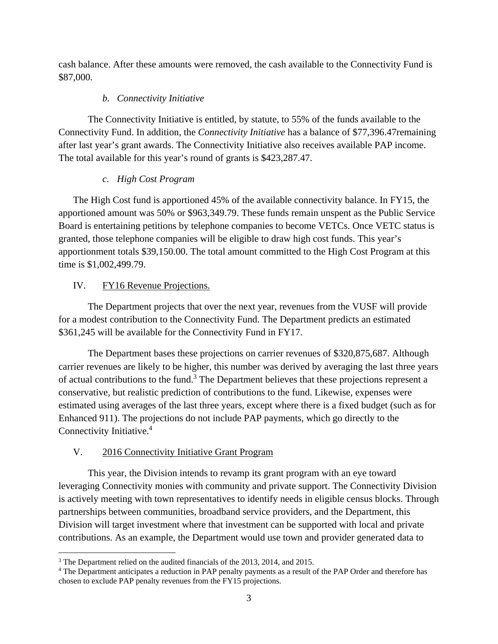cash balance. After these amounts were removed, the cash available to the Connectivity Fund is \$87,000.

## *b. Connectivity Initiative*

 The Connectivity Initiative is entitled, by statute, to 55% of the funds available to the Connectivity Fund. In addition, the *Connectivity Initiative* has a balance of \$77,396.47remaining after last year's grant awards. The Connectivity Initiative also receives available PAP income. The total available for this year's round of grants is \$423,287.47.

## *c. High Cost Program*

The High Cost fund is apportioned 45% of the available connectivity balance. In FY15, the apportioned amount was 50% or \$963,349.79. These funds remain unspent as the Public Service Board is entertaining petitions by telephone companies to become VETCs. Once VETC status is granted, those telephone companies will be eligible to draw high cost funds. This year's apportionment totals \$39,150.00. The total amount committed to the High Cost Program at this time is \$1,002,499.79.

# IV. FY16 Revenue Projections.

 The Department projects that over the next year, revenues from the VUSF will provide for a modest contribution to the Connectivity Fund. The Department predicts an estimated \$361,245 will be available for the Connectivity Fund in FY17.

 The Department bases these projections on carrier revenues of \$320,875,687. Although carrier revenues are likely to be higher, this number was derived by averaging the last three years of actual contributions to the fund.<sup>3</sup> The Department believes that these projections represent a conservative, but realistic prediction of contributions to the fund. Likewise, expenses were estimated using averages of the last three years, except where there is a fixed budget (such as for Enhanced 911). The projections do not include PAP payments, which go directly to the Connectivity Initiative.<sup>4</sup>

# V. 2016 Connectivity Initiative Grant Program

This year, the Division intends to revamp its grant program with an eye toward leveraging Connectivity monies with community and private support. The Connectivity Division is actively meeting with town representatives to identify needs in eligible census blocks. Through partnerships between communities, broadband service providers, and the Department, this Division will target investment where that investment can be supported with local and private contributions. As an example, the Department would use town and provider generated data to

 $\overline{a}$ <sup>3</sup> The Department relied on the audited financials of the 2013, 2014, and 2015.

<sup>&</sup>lt;sup>4</sup> The Department anticipates a reduction in PAP penalty payments as a result of the PAP Order and therefore has chosen to exclude PAP penalty revenues from the FY15 projections.